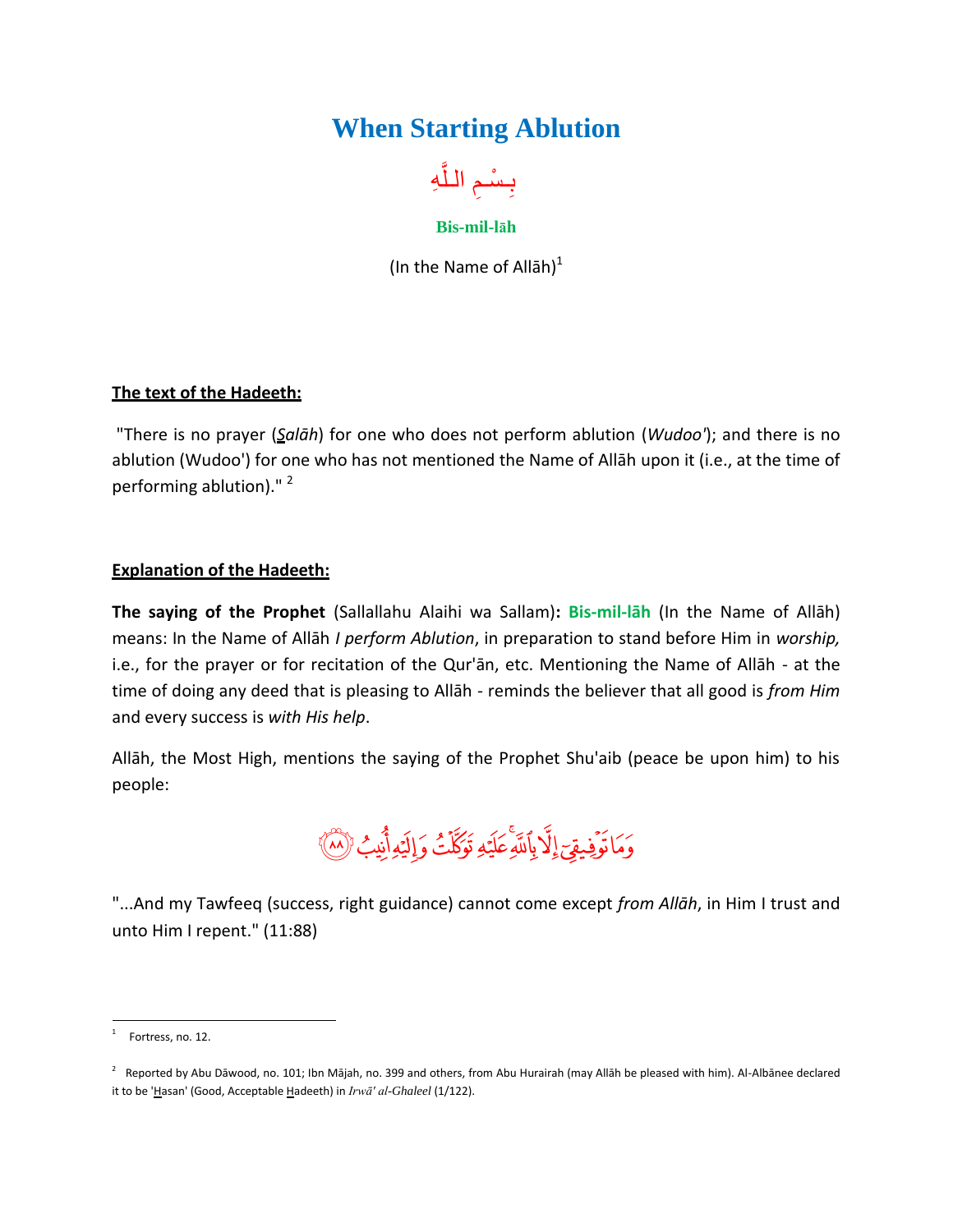## **When Starting Ablution**



**Bis-mil-lāh**

(In the Name of Allah) $<sup>1</sup>$ </sup>

## **The text of the Hadeeth:**

"There is no prayer (*Salāh*) for one who does not perform ablution (*Wudoo'*); and there is no ablution (Wudoo') for one who has not mentioned the Name of Allāh upon it (i.e., at the time of performing ablution)."<sup>2</sup>

## **Explanation of the Hadeeth:**

**The saying of the Prophet** (Sallallahu Alaihi wa Sallam)**: Bis-mil-lāh** (In the Name of Allāh) means: In the Name of Allāh *I perform Ablution*, in preparation to stand before Him in *worship,* i.e., for the prayer or for recitation of the Qur'ān, etc. Mentioning the Name of Allāh - at the time of doing any deed that is pleasing to Allāh - reminds the believer that all good is *from Him* and every success is *with His help*.

Allāh, the Most High, mentions the saying of the Prophet Shu'aib (peace be upon him) to his people:

وَمَاتَوۡفِیقِیَ إِلَّا بِاَللَّهِ عَلَیۡهِ تَوَكَّلۡتُ وَإِلَیۡهِ أَنِیۡبُ (ْلَهُ)َ

"...And my Tawfeeq (success, right guidance) cannot come except *from Allāh*, in Him I trust and unto Him I repent." (11:88)

 $\frac{1}{1}$ Fortress, no. 12.

 $^2$  Reported by Abu Dāwood, no. 101; Ibn Mājah, no. 399 and others, from Abu Hurairah (may Allāh be pleased with him). Al-Albānee declared it to be 'Hasan' (Good, Acceptable Hadeeth) in *Irwā' al-Ghaleel* (1/122).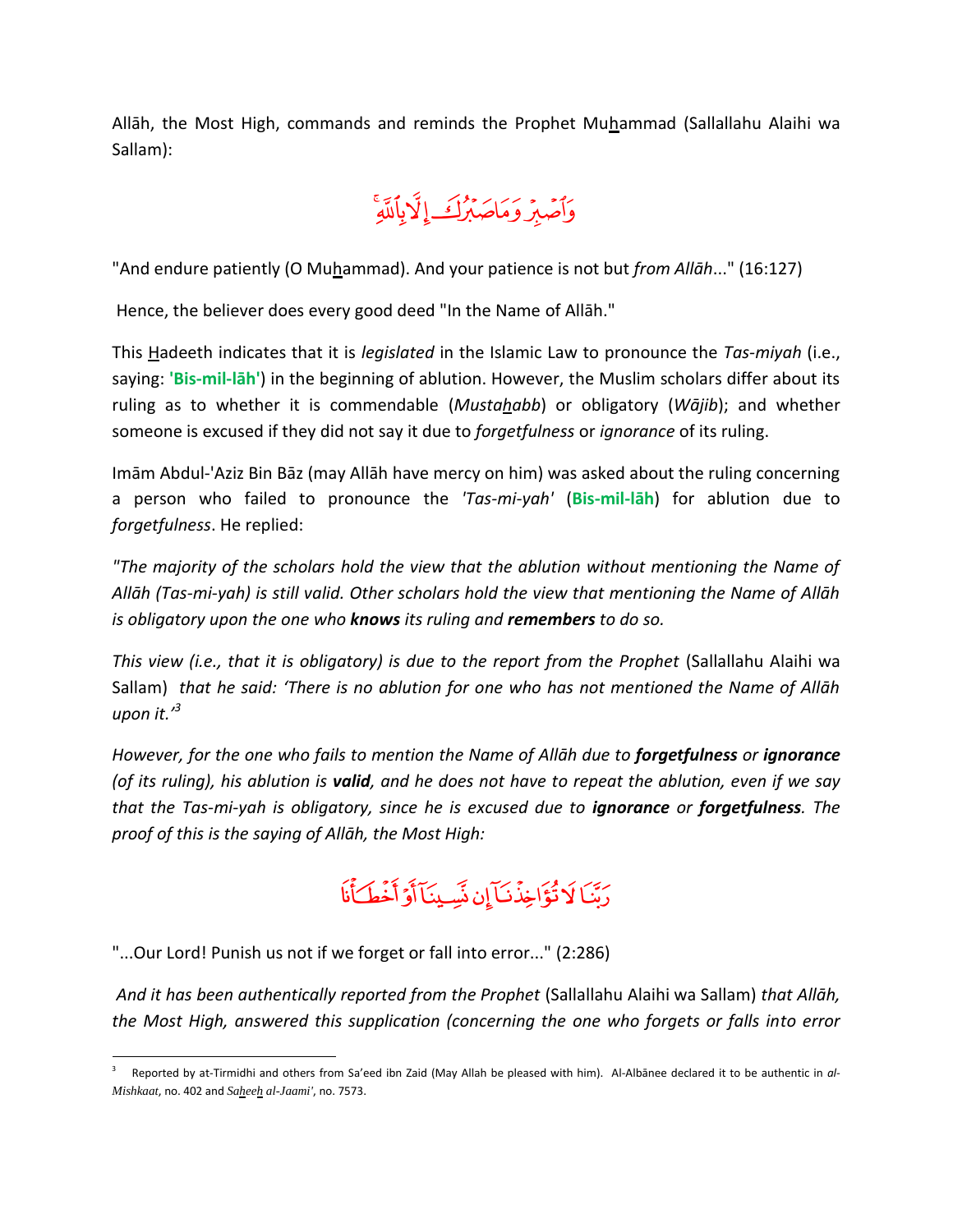Allāh, the Most High, commands and reminds the Prophet Muhammad (Sallallahu Alaihi wa Sallam):

وَأَصْبِرُ وَمَاصَبِرُكَ إِلَّا بِٱللَّهِ

"And endure patiently (O Muhammad). And your patience is not but *from Allāh...*" (16:127)

Hence, the believer does every good deed "In the Name of Allāh."

This Hadeeth indicates that it is *legislated* in the Islamic Law to pronounce the *Tas-miyah* (i.e., saying: **'Bis-mil-lāh'**) in the beginning of ablution. However, the Muslim scholars differ about its ruling as to whether it is commendable (*Mustahabb*) or obligatory (*Wājib*); and whether someone is excused if they did not say it due to *forgetfulness* or *ignorance* of its ruling.

Imām Abdul-'Aziz Bin Bāz (may Allāh have mercy on him) was asked about the ruling concerning a person who failed to pronounce the *'Tas-mi-yah'* (**Bis-mil-lāh**) for ablution due to *forgetfulness*. He replied:

*"The majority of the scholars hold the view that the ablution without mentioning the Name of Allāh (Tas-mi-yah) is still valid. Other scholars hold the view that mentioning the Name of Allāh is obligatory upon the one who knows its ruling and remembers to do so.*

*This view (i.e., that it is obligatory) is due to the report from the Prophet (Sallallahu Alaihi wa* Sallam) *that he said: 'There is no ablution for one who has not mentioned the Name of Allāh upon it.' 3*

*However, for the one who fails to mention the Name of Allāh due to forgetfulness or ignorance (of its ruling), his ablution is valid, and he does not have to repeat the ablution, even if we say that the Tas-mi-yah is obligatory, since he is excused due to ignorance or forgetfulness. The proof of this is the saying of Allāh, the Most High:*

## دَيْنَا لَا تُؤَاخِذُنَبَآ إِن نَسَبِينَآ أَوْ أَخْطَبَأْنَا

"...Our Lord! Punish us not if we forget or fall into error..." (2:286)

*And it has been authentically reported from the Prophet* (Sallallahu Alaihi wa Sallam) *that Allāh, the Most High, answered this supplication (concerning the one who forgets or falls into error* 

 $\overline{a}$ 3 Reported by at-Tirmidhi and others from Sa'eed ibn Zaid (May Allah be pleased with him). Al-Albānee declared it to be authentic in *al-Mishkaat*, no. 402 and *Saheeh al-Jaami'*, no. 7573.